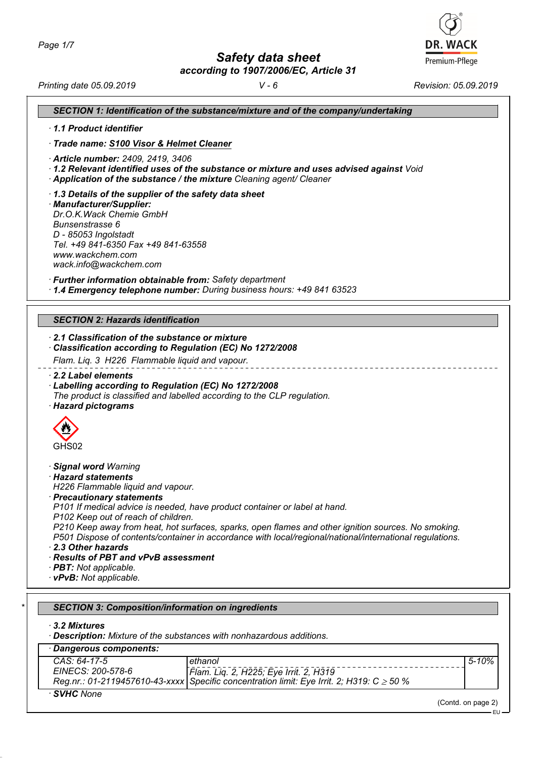*Safety data sheet*

*according to 1907/2006/EC, Article 31*



*Printing date 05.09.2019 V - 6 Revision: 05.09.2019*

| 1.1 Product identifier                                                                                                                                                                                     |                                                                                                                                                                                                                                                                                                                                                                                                                   |  |  |
|------------------------------------------------------------------------------------------------------------------------------------------------------------------------------------------------------------|-------------------------------------------------------------------------------------------------------------------------------------------------------------------------------------------------------------------------------------------------------------------------------------------------------------------------------------------------------------------------------------------------------------------|--|--|
| · Trade name: S100 Visor & Helmet Cleaner                                                                                                                                                                  |                                                                                                                                                                                                                                                                                                                                                                                                                   |  |  |
| · Article number: 2409, 2419, 3406<br>$\cdot$ 1.2 Relevant identified uses of the substance or mixture and uses advised against Void<br>Application of the substance / the mixture Cleaning agent/ Cleaner |                                                                                                                                                                                                                                                                                                                                                                                                                   |  |  |
| · Manufacturer/Supplier:<br>Dr.O.K.Wack Chemie GmbH<br>Bunsenstrasse 6<br>D - 85053 Ingolstadt<br>www.wackchem.com<br>wack.info@wackchem.com                                                               | 1.3 Details of the supplier of the safety data sheet<br>Tel. +49 841-6350 Fax +49 841-63558                                                                                                                                                                                                                                                                                                                       |  |  |
|                                                                                                                                                                                                            | · Further information obtainable from: Safety department<br>· 1.4 Emergency telephone number: During business hours: +49 841 63523                                                                                                                                                                                                                                                                                |  |  |
|                                                                                                                                                                                                            |                                                                                                                                                                                                                                                                                                                                                                                                                   |  |  |
|                                                                                                                                                                                                            | <b>SECTION 2: Hazards identification</b>                                                                                                                                                                                                                                                                                                                                                                          |  |  |
| 2.2 Label elements                                                                                                                                                                                         | Classification according to Regulation (EC) No 1272/2008<br>Flam. Liq. 3 H226 Flammable liquid and vapour.                                                                                                                                                                                                                                                                                                        |  |  |
|                                                                                                                                                                                                            | Labelling according to Regulation (EC) No 1272/2008<br>The product is classified and labelled according to the CLP regulation.                                                                                                                                                                                                                                                                                    |  |  |
| GHS02                                                                                                                                                                                                      |                                                                                                                                                                                                                                                                                                                                                                                                                   |  |  |
|                                                                                                                                                                                                            | H226 Flammable liquid and vapour.<br>P101 If medical advice is needed, have product container or label at hand.<br>P102 Keep out of reach of children.<br>P210 Keep away from heat, hot surfaces, sparks, open flames and other ignition sources. No smoking.<br>P501 Dispose of contents/container in accordance with local/regional/national/international regulations.<br>· Results of PBT and vPvB assessment |  |  |
| · Hazard pictograms<br>· Signal word Warning<br>· Hazard statements<br>$\cdot$ Precautionary statements<br>2.3 Other hazards<br>· <b>PBT</b> : Not applicable.<br>· vPvB: Not applicable.                  |                                                                                                                                                                                                                                                                                                                                                                                                                   |  |  |

| · Dangerous components: |                                                                                                |         |  |  |
|-------------------------|------------------------------------------------------------------------------------------------|---------|--|--|
| $CAS: 64-17-5$          | ethanol                                                                                        | 5-10% l |  |  |
| EINECS: 200-578-6       | Flam. Liq. 2, H225; Eye Irrit. 2, H319                                                         |         |  |  |
|                         | Reg.nr.: 01-2119457610-43-xxxx Specific concentration limit: Eye Irrit. 2; H319: C $\geq$ 50 % |         |  |  |
| · SVHC None             |                                                                                                |         |  |  |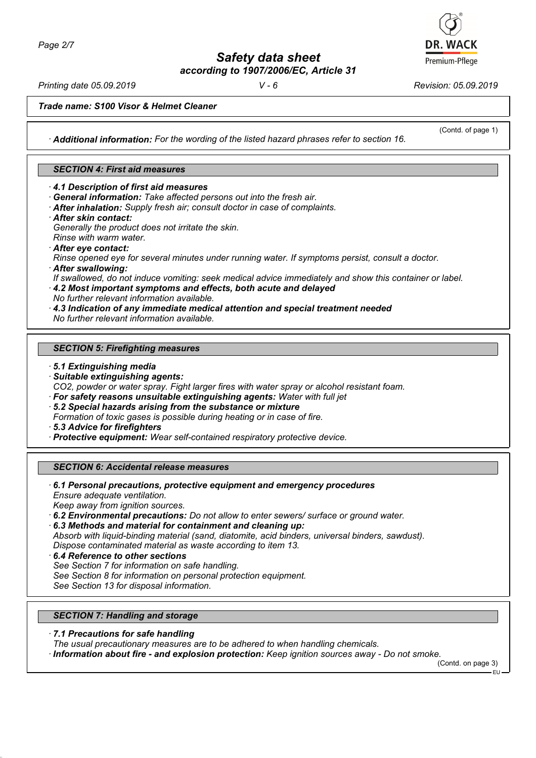*Safety data sheet according to 1907/2006/EC, Article 31*

*Printing date 05.09.2019 V - 6 Revision: 05.09.2019*

(Contd. of page 1)

*Trade name: S100 Visor & Helmet Cleaner*

*· Additional information: For the wording of the listed hazard phrases refer to section 16.*

# *SECTION 4: First aid measures*

*· 4.1 Description of first aid measures*

- *· General information: Take affected persons out into the fresh air.*
- *· After inhalation: Supply fresh air; consult doctor in case of complaints.*
- *· After skin contact:*

*Generally the product does not irritate the skin.*

- *Rinse with warm water.*
- *· After eye contact:*

*Rinse opened eye for several minutes under running water. If symptoms persist, consult a doctor.*

*· After swallowing:*

*If swallowed, do not induce vomiting: seek medical advice immediately and show this container or label.*

- *· 4.2 Most important symptoms and effects, both acute and delayed*
- *No further relevant information available.*

*· 4.3 Indication of any immediate medical attention and special treatment needed*

*No further relevant information available.*

#### *SECTION 5: Firefighting measures*

- *· 5.1 Extinguishing media*
- *· Suitable extinguishing agents:*

*CO2, powder or water spray. Fight larger fires with water spray or alcohol resistant foam.*

*· For safety reasons unsuitable extinguishing agents: Water with full jet*

*· 5.2 Special hazards arising from the substance or mixture*

*Formation of toxic gases is possible during heating or in case of fire.*

*· 5.3 Advice for firefighters*

*· Protective equipment: Wear self-contained respiratory protective device.*

## *SECTION 6: Accidental release measures*

*· 6.1 Personal precautions, protective equipment and emergency procedures Ensure adequate ventilation.*

*Keep away from ignition sources.*

*· 6.2 Environmental precautions: Do not allow to enter sewers/ surface or ground water.*

*· 6.3 Methods and material for containment and cleaning up: Absorb with liquid-binding material (sand, diatomite, acid binders, universal binders, sawdust). Dispose contaminated material as waste according to item 13.*

- *· 6.4 Reference to other sections*
- *See Section 7 for information on safe handling.*
- *See Section 8 for information on personal protection equipment.*

*See Section 13 for disposal information.*

## *SECTION 7: Handling and storage*

- *· 7.1 Precautions for safe handling*
- *The usual precautionary measures are to be adhered to when handling chemicals.*
- *· Information about fire and explosion protection: Keep ignition sources away Do not smoke.*

(Contd. on page 3)



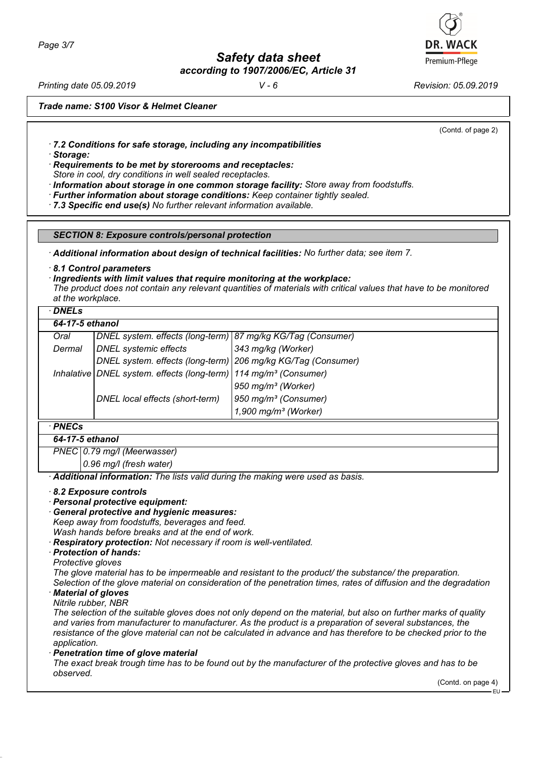*Page 3/7*

*Safety data sheet according to 1907/2006/EC, Article 31*

*Printing date 05.09.2019 V - 6 Revision: 05.09.2019*

*Trade name: S100 Visor & Helmet Cleaner*

(Contd. of page 2)

*· 7.2 Conditions for safe storage, including any incompatibilities*

*· Storage:*

*· Requirements to be met by storerooms and receptacles:*

*Store in cool, dry conditions in well sealed receptacles.*

- *· Information about storage in one common storage facility: Store away from foodstuffs.*
- *· Further information about storage conditions: Keep container tightly sealed.*
- *· 7.3 Specific end use(s) No further relevant information available.*

*SECTION 8: Exposure controls/personal protection*

*· Additional information about design of technical facilities: No further data; see item 7.*

*· 8.1 Control parameters*

*· Ingredients with limit values that require monitoring at the workplace:*

*The product does not contain any relevant quantities of materials with critical values that have to be monitored at the workplace.*

| DNE |  |
|-----|--|
|-----|--|

| 64-17-5 ethanol |                                                                                  |                                  |
|-----------------|----------------------------------------------------------------------------------|----------------------------------|
| Oral            | DNEL system. effects (long-term) 87 mg/kg KG/Tag (Consumer)                      |                                  |
| Dermal          | <b>DNEL</b> systemic effects                                                     | $343$ mg/kg (Worker)             |
|                 | DNEL system. effects (long-term) 206 mg/kg KG/Tag (Consumer)                     |                                  |
|                 | Inhalative   DNEL system. effects (long-term)   114 mg/m <sup>3</sup> (Consumer) |                                  |
|                 |                                                                                  | 950 mg/m <sup>3</sup> (Worker)   |
|                 | DNEL local effects (short-term)                                                  | 950 mg/m <sup>3</sup> (Consumer) |
|                 |                                                                                  | 1,900 mg/m <sup>3</sup> (Worker) |

# *· PNECs*

*64-17-5 ethanol*

*PNEC 0.79 mg/l (Meerwasser)*

*0.96 mg/l (fresh water)*

*· Additional information: The lists valid during the making were used as basis.*

- *· 8.2 Exposure controls*
- *· Personal protective equipment:*
- *· General protective and hygienic measures:*

*Keep away from foodstuffs, beverages and feed.*

*Wash hands before breaks and at the end of work.*

- *· Respiratory protection: Not necessary if room is well-ventilated.*
- *· Protection of hands:*
- *Protective gloves*

*The glove material has to be impermeable and resistant to the product/ the substance/ the preparation. Selection of the glove material on consideration of the penetration times, rates of diffusion and the degradation*

*· Material of gloves*

*Nitrile rubber, NBR*

*The selection of the suitable gloves does not only depend on the material, but also on further marks of quality and varies from manufacturer to manufacturer. As the product is a preparation of several substances, the resistance of the glove material can not be calculated in advance and has therefore to be checked prior to the application.*

*· Penetration time of glove material*

*The exact break trough time has to be found out by the manufacturer of the protective gloves and has to be observed.*

(Contd. on page 4)

EU

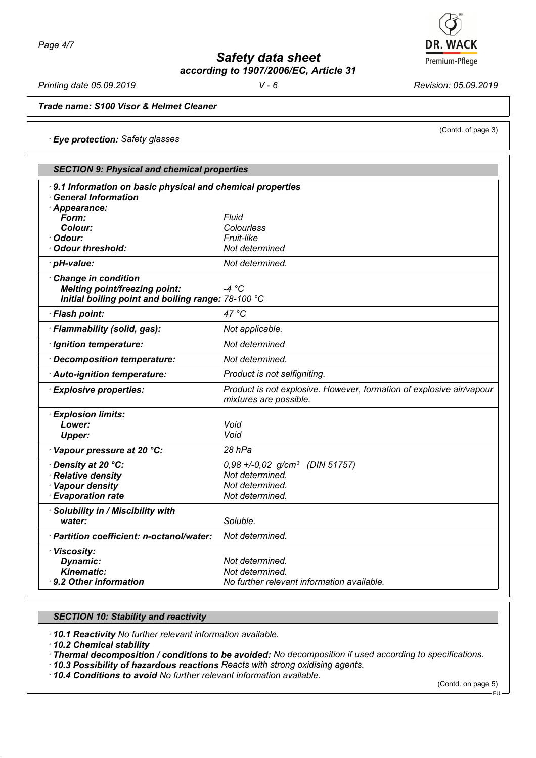

*Safety data sheet according to 1907/2006/EC, Article 31*

*Printing date 05.09.2019 V - 6 Revision: 05.09.2019*

(Contd. of page 3)

*Trade name: S100 Visor & Helmet Cleaner*

*· Eye protection: Safety glasses*

| · 9.1 Information on basic physical and chemical properties<br>· General Information<br>· Appearance:<br>Fluid<br>Form:<br>Colour:<br>Colourless<br>Fruit-like<br>· Odour:<br><b>Odour threshold:</b><br>Not determined<br>Not determined.<br>· pH-value:<br>Change in condition<br>$-4 °C$<br><b>Melting point/freezing point:</b><br>Initial boiling point and boiling range: 78-100 °C<br>47 °C<br>· Flash point:<br>· Flammability (solid, gas):<br>Not applicable.<br>Not determined<br>· Ignition temperature:<br>Decomposition temperature:<br>Not determined.<br>Product is not selfigniting.<br>· Auto-ignition temperature:<br><b>Explosive properties:</b><br>mixtures are possible.<br>· Explosion limits:<br>Lower:<br>Void<br>Void<br><b>Upper:</b><br>Vapour pressure at 20 °C:<br>28 hPa<br>· Density at 20 °C:<br>$0,98 + -0,02$ g/cm <sup>3</sup><br>(DIN 51757)<br>· Relative density<br>Not determined.<br>· Vapour density<br>Not determined.<br>· Evaporation rate<br>Not determined.<br>· Solubility in / Miscibility with<br>Soluble.<br>water:<br>· Partition coefficient: n-octanol/water:<br>Not determined.<br>· Viscosity:<br>Not determined.<br>Dynamic:<br><b>Kinematic:</b><br>Not determined. | <b>SECTION 9: Physical and chemical properties</b> |                                                                      |  |
|--------------------------------------------------------------------------------------------------------------------------------------------------------------------------------------------------------------------------------------------------------------------------------------------------------------------------------------------------------------------------------------------------------------------------------------------------------------------------------------------------------------------------------------------------------------------------------------------------------------------------------------------------------------------------------------------------------------------------------------------------------------------------------------------------------------------------------------------------------------------------------------------------------------------------------------------------------------------------------------------------------------------------------------------------------------------------------------------------------------------------------------------------------------------------------------------------------------------------------|----------------------------------------------------|----------------------------------------------------------------------|--|
|                                                                                                                                                                                                                                                                                                                                                                                                                                                                                                                                                                                                                                                                                                                                                                                                                                                                                                                                                                                                                                                                                                                                                                                                                                |                                                    |                                                                      |  |
|                                                                                                                                                                                                                                                                                                                                                                                                                                                                                                                                                                                                                                                                                                                                                                                                                                                                                                                                                                                                                                                                                                                                                                                                                                |                                                    |                                                                      |  |
|                                                                                                                                                                                                                                                                                                                                                                                                                                                                                                                                                                                                                                                                                                                                                                                                                                                                                                                                                                                                                                                                                                                                                                                                                                |                                                    |                                                                      |  |
|                                                                                                                                                                                                                                                                                                                                                                                                                                                                                                                                                                                                                                                                                                                                                                                                                                                                                                                                                                                                                                                                                                                                                                                                                                |                                                    |                                                                      |  |
|                                                                                                                                                                                                                                                                                                                                                                                                                                                                                                                                                                                                                                                                                                                                                                                                                                                                                                                                                                                                                                                                                                                                                                                                                                |                                                    |                                                                      |  |
|                                                                                                                                                                                                                                                                                                                                                                                                                                                                                                                                                                                                                                                                                                                                                                                                                                                                                                                                                                                                                                                                                                                                                                                                                                |                                                    |                                                                      |  |
|                                                                                                                                                                                                                                                                                                                                                                                                                                                                                                                                                                                                                                                                                                                                                                                                                                                                                                                                                                                                                                                                                                                                                                                                                                |                                                    |                                                                      |  |
|                                                                                                                                                                                                                                                                                                                                                                                                                                                                                                                                                                                                                                                                                                                                                                                                                                                                                                                                                                                                                                                                                                                                                                                                                                |                                                    |                                                                      |  |
|                                                                                                                                                                                                                                                                                                                                                                                                                                                                                                                                                                                                                                                                                                                                                                                                                                                                                                                                                                                                                                                                                                                                                                                                                                |                                                    |                                                                      |  |
|                                                                                                                                                                                                                                                                                                                                                                                                                                                                                                                                                                                                                                                                                                                                                                                                                                                                                                                                                                                                                                                                                                                                                                                                                                |                                                    |                                                                      |  |
|                                                                                                                                                                                                                                                                                                                                                                                                                                                                                                                                                                                                                                                                                                                                                                                                                                                                                                                                                                                                                                                                                                                                                                                                                                |                                                    |                                                                      |  |
|                                                                                                                                                                                                                                                                                                                                                                                                                                                                                                                                                                                                                                                                                                                                                                                                                                                                                                                                                                                                                                                                                                                                                                                                                                |                                                    |                                                                      |  |
|                                                                                                                                                                                                                                                                                                                                                                                                                                                                                                                                                                                                                                                                                                                                                                                                                                                                                                                                                                                                                                                                                                                                                                                                                                |                                                    | Product is not explosive. However, formation of explosive air/vapour |  |
|                                                                                                                                                                                                                                                                                                                                                                                                                                                                                                                                                                                                                                                                                                                                                                                                                                                                                                                                                                                                                                                                                                                                                                                                                                |                                                    |                                                                      |  |
|                                                                                                                                                                                                                                                                                                                                                                                                                                                                                                                                                                                                                                                                                                                                                                                                                                                                                                                                                                                                                                                                                                                                                                                                                                |                                                    |                                                                      |  |
|                                                                                                                                                                                                                                                                                                                                                                                                                                                                                                                                                                                                                                                                                                                                                                                                                                                                                                                                                                                                                                                                                                                                                                                                                                |                                                    |                                                                      |  |
|                                                                                                                                                                                                                                                                                                                                                                                                                                                                                                                                                                                                                                                                                                                                                                                                                                                                                                                                                                                                                                                                                                                                                                                                                                |                                                    |                                                                      |  |
|                                                                                                                                                                                                                                                                                                                                                                                                                                                                                                                                                                                                                                                                                                                                                                                                                                                                                                                                                                                                                                                                                                                                                                                                                                |                                                    |                                                                      |  |
|                                                                                                                                                                                                                                                                                                                                                                                                                                                                                                                                                                                                                                                                                                                                                                                                                                                                                                                                                                                                                                                                                                                                                                                                                                |                                                    |                                                                      |  |
|                                                                                                                                                                                                                                                                                                                                                                                                                                                                                                                                                                                                                                                                                                                                                                                                                                                                                                                                                                                                                                                                                                                                                                                                                                |                                                    |                                                                      |  |
|                                                                                                                                                                                                                                                                                                                                                                                                                                                                                                                                                                                                                                                                                                                                                                                                                                                                                                                                                                                                                                                                                                                                                                                                                                |                                                    |                                                                      |  |
|                                                                                                                                                                                                                                                                                                                                                                                                                                                                                                                                                                                                                                                                                                                                                                                                                                                                                                                                                                                                                                                                                                                                                                                                                                |                                                    |                                                                      |  |
|                                                                                                                                                                                                                                                                                                                                                                                                                                                                                                                                                                                                                                                                                                                                                                                                                                                                                                                                                                                                                                                                                                                                                                                                                                |                                                    |                                                                      |  |
|                                                                                                                                                                                                                                                                                                                                                                                                                                                                                                                                                                                                                                                                                                                                                                                                                                                                                                                                                                                                                                                                                                                                                                                                                                |                                                    |                                                                      |  |
|                                                                                                                                                                                                                                                                                                                                                                                                                                                                                                                                                                                                                                                                                                                                                                                                                                                                                                                                                                                                                                                                                                                                                                                                                                | · 9.2 Other information                            | No further relevant information available.                           |  |

# *SECTION 10: Stability and reactivity*

*· 10.1 Reactivity No further relevant information available.*

*· 10.2 Chemical stability*

*· Thermal decomposition / conditions to be avoided: No decomposition if used according to specifications.*

*· 10.3 Possibility of hazardous reactions Reacts with strong oxidising agents.*

*· 10.4 Conditions to avoid No further relevant information available.*

(Contd. on page 5)

## EU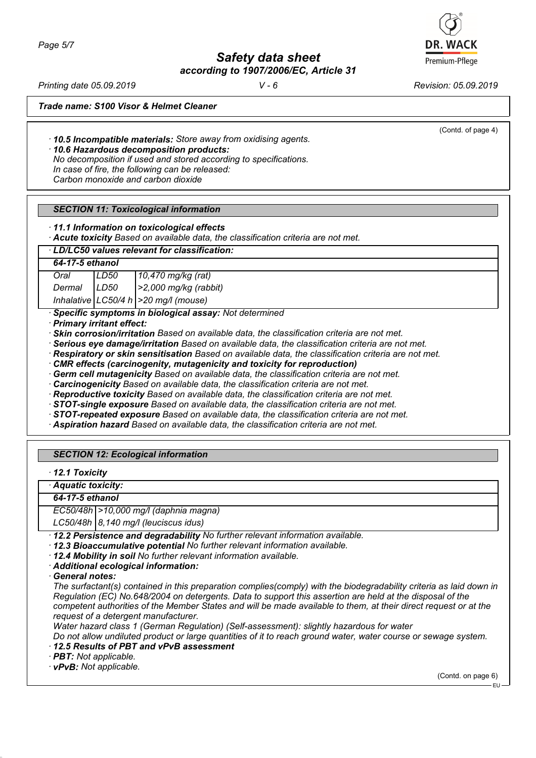*Page 5/7*

*Safety data sheet according to 1907/2006/EC, Article 31*

*Printing date 05.09.2019 V - 6 Revision: 05.09.2019*

(Contd. of page 4)

*Trade name: S100 Visor & Helmet Cleaner*

*· 10.5 Incompatible materials: Store away from oxidising agents.*

*· 10.6 Hazardous decomposition products:*

*No decomposition if used and stored according to specifications. In case of fire, the following can be released: Carbon monoxide and carbon dioxide*

# *SECTION 11: Toxicological information*

*· 11.1 Information on toxicological effects*

*· Acute toxicity Based on available data, the classification criteria are not met.*

# *· LD/LC50 values relevant for classification:*

*64-17-5 ethanol Oral LD50 10,470 mg/kg (rat) Dermal LD50 >2,000 mg/kg (rabbit) Inhalative LC50/4 h >20 mg/l (mouse)*

*· Specific symptoms in biological assay: Not determined*

*· Primary irritant effect:*

*· Skin corrosion/irritation Based on available data, the classification criteria are not met.*

*· Serious eye damage/irritation Based on available data, the classification criteria are not met.*

*· Respiratory or skin sensitisation Based on available data, the classification criteria are not met.*

*· CMR effects (carcinogenity, mutagenicity and toxicity for reproduction)*

*· Germ cell mutagenicity Based on available data, the classification criteria are not met.*

*· Carcinogenicity Based on available data, the classification criteria are not met.*

*· Reproductive toxicity Based on available data, the classification criteria are not met.*

*· STOT-single exposure Based on available data, the classification criteria are not met.*

*· STOT-repeated exposure Based on available data, the classification criteria are not met.*

*· Aspiration hazard Based on available data, the classification criteria are not met.*

# *SECTION 12: Ecological information*

*· 12.1 Toxicity*

*· Aquatic toxicity:*

*64-17-5 ethanol*

*EC50/48h >10,000 mg/l (daphnia magna)*

*LC50/48h 8,140 mg/l (leuciscus idus)*

*· 12.2 Persistence and degradability No further relevant information available.*

*· 12.3 Bioaccumulative potential No further relevant information available.*

*· 12.4 Mobility in soil No further relevant information available.*

*· Additional ecological information:*

*· General notes:*

*The surfactant(s) contained in this preparation complies(comply) with the biodegradability criteria as laid down in Regulation (EC) No.648/2004 on detergents. Data to support this assertion are held at the disposal of the competent authorities of the Member States and will be made available to them, at their direct request or at the request of a detergent manufacturer.*

*Water hazard class 1 (German Regulation) (Self-assessment): slightly hazardous for water*

*Do not allow undiluted product or large quantities of it to reach ground water, water course or sewage system. · 12.5 Results of PBT and vPvB assessment*

*· PBT: Not applicable.*

*· vPvB: Not applicable.*

(Contd. on page 6)

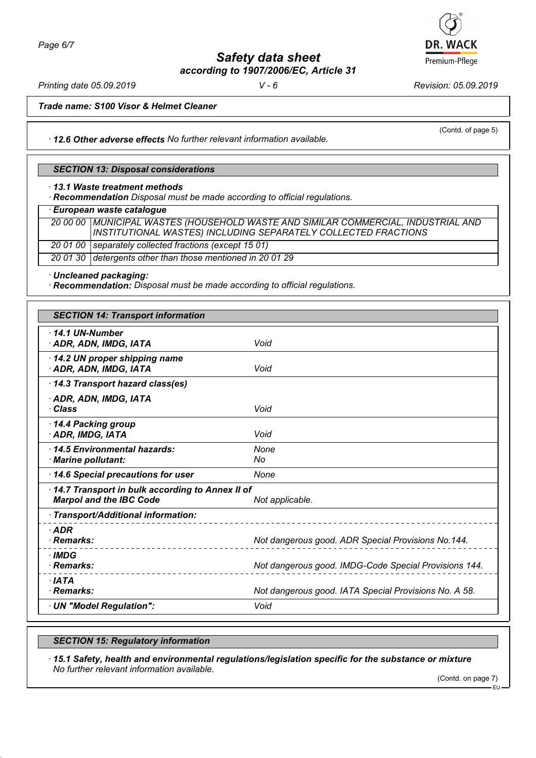*Safety data sheet according to 1907/2006/EC, Article 31*

*Printing date 05.09.2019 V - 6 Revision: 05.09.2019*

(Contd. of page 5)

*Trade name: S100 Visor & Helmet Cleaner*

*· 12.6 Other adverse effects No further relevant information available.*

#### *SECTION 13: Disposal considerations*

*· 13.1 Waste treatment methods*

*· Recommendation Disposal must be made according to official regulations.*

*· European waste catalogue*

*20 00 00 MUNICIPAL WASTES (HOUSEHOLD WASTE AND SIMILAR COMMERCIAL, INDUSTRIAL AND INSTITUTIONAL WASTES) INCLUDING SEPARATELY COLLECTED FRACTIONS 20 01 00 separately collected fractions (except 15 01) 20 01 30 detergents other than those mentioned in 20 01 29*

*· Uncleaned packaging:*

*· Recommendation: Disposal must be made according to official regulations.*

| <b>SECTION 14: Transport information</b>                                          |                                                       |  |
|-----------------------------------------------------------------------------------|-------------------------------------------------------|--|
| $\cdot$ 14.1 UN-Number<br>· ADR, ADN, IMDG, IATA                                  | Void                                                  |  |
| 14.2 UN proper shipping name<br>· ADR, ADN, IMDG, IATA                            | Void                                                  |  |
| 14.3 Transport hazard class(es)                                                   |                                                       |  |
| · ADR, ADN, IMDG, IATA<br>· Class                                                 | Void                                                  |  |
| 14.4 Packing group<br>· ADR, IMDG, IATA                                           | Void                                                  |  |
| 14.5 Environmental hazards:<br>· Marine pollutant:                                | None<br>No                                            |  |
| 14.6 Special precautions for user                                                 | None                                                  |  |
| 14.7 Transport in bulk according to Annex II of<br><b>Marpol and the IBC Code</b> | Not applicable.                                       |  |
| · Transport/Additional information:                                               |                                                       |  |
| $\cdot$ ADR<br>· Remarks:                                                         | Not dangerous good. ADR Special Provisions No.144.    |  |
| · IMDG<br>· Remarks:                                                              | Not dangerous good. IMDG-Code Special Provisions 144. |  |
| $\cdot$ IATA<br>· Remarks:                                                        | Not dangerous good. IATA Special Provisions No. A 58. |  |
| · UN "Model Regulation":                                                          | Void                                                  |  |

# *SECTION 15: Regulatory information*

*· 15.1 Safety, health and environmental regulations/legislation specific for the substance or mixture No further relevant information available.*

(Contd. on page 7)